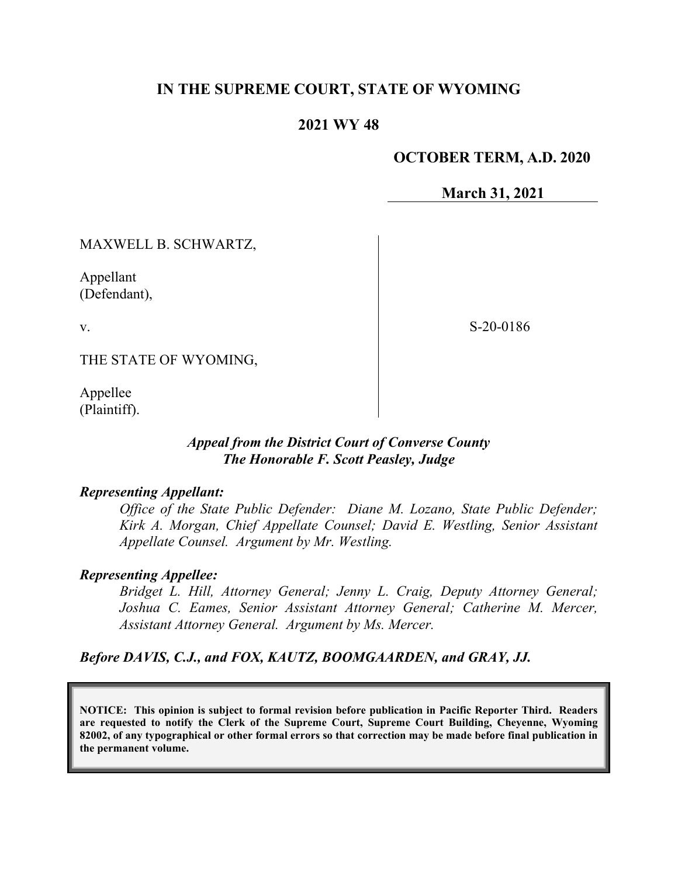## **IN THE SUPREME COURT, STATE OF WYOMING**

### **2021 WY 48**

#### **OCTOBER TERM, A.D. 2020**

**March 31, 2021**

MAXWELL B. SCHWARTZ,

Appellant (Defendant),

v.

S-20-0186

THE STATE OF WYOMING,

Appellee (Plaintiff).

### *Appeal from the District Court of Converse County The Honorable F. Scott Peasley, Judge*

#### *Representing Appellant:*

*Office of the State Public Defender: Diane M. Lozano, State Public Defender; Kirk A. Morgan, Chief Appellate Counsel; David E. Westling, Senior Assistant Appellate Counsel. Argument by Mr. Westling.*

#### *Representing Appellee:*

*Bridget L. Hill, Attorney General; Jenny L. Craig, Deputy Attorney General; Joshua C. Eames, Senior Assistant Attorney General; Catherine M. Mercer, Assistant Attorney General. Argument by Ms. Mercer.*

*Before DAVIS, C.J., and FOX, KAUTZ, BOOMGAARDEN, and GRAY, JJ.*

**NOTICE: This opinion is subject to formal revision before publication in Pacific Reporter Third. Readers are requested to notify the Clerk of the Supreme Court, Supreme Court Building, Cheyenne, Wyoming 82002, of any typographical or other formal errors so that correction may be made before final publication in the permanent volume.**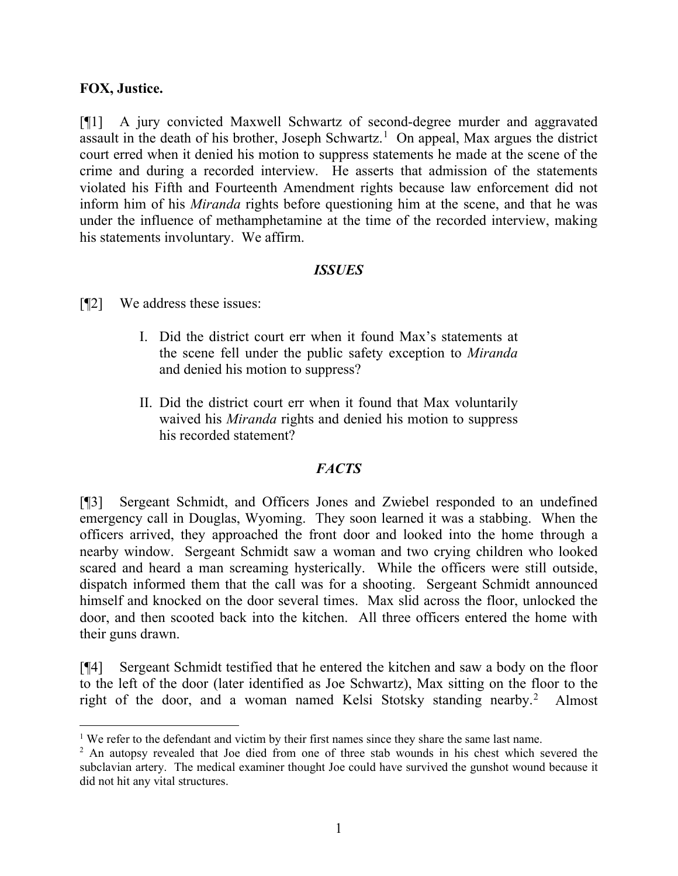### **FOX, Justice.**

[¶1] A jury convicted Maxwell Schwartz of second-degree murder and aggravated assault in the death of his brother, Joseph Schwartz. [1](#page-1-0) On appeal, Max argues the district court erred when it denied his motion to suppress statements he made at the scene of the crime and during a recorded interview. He asserts that admission of the statements violated his Fifth and Fourteenth Amendment rights because law enforcement did not inform him of his *Miranda* rights before questioning him at the scene, and that he was under the influence of methamphetamine at the time of the recorded interview, making his statements involuntary. We affirm.

### *ISSUES*

[¶2] We address these issues:

- I. Did the district court err when it found Max's statements at the scene fell under the public safety exception to *Miranda*  and denied his motion to suppress?
- II. Did the district court err when it found that Max voluntarily waived his *Miranda* rights and denied his motion to suppress his recorded statement?

## *FACTS*

[¶3] Sergeant Schmidt, and Officers Jones and Zwiebel responded to an undefined emergency call in Douglas, Wyoming. They soon learned it was a stabbing. When the officers arrived, they approached the front door and looked into the home through a nearby window. Sergeant Schmidt saw a woman and two crying children who looked scared and heard a man screaming hysterically. While the officers were still outside, dispatch informed them that the call was for a shooting. Sergeant Schmidt announced himself and knocked on the door several times. Max slid across the floor, unlocked the door, and then scooted back into the kitchen. All three officers entered the home with their guns drawn.

[¶4] Sergeant Schmidt testified that he entered the kitchen and saw a body on the floor to the left of the door (later identified as Joe Schwartz), Max sitting on the floor to the right of the door, and a woman named Kelsi Stotsky standing nearby.<sup>[2](#page-1-1)</sup> Almost

<span id="page-1-0"></span><sup>&</sup>lt;sup>1</sup> We refer to the defendant and victim by their first names since they share the same last name.

<span id="page-1-1"></span><sup>&</sup>lt;sup>2</sup> An autopsy revealed that Joe died from one of three stab wounds in his chest which severed the subclavian artery. The medical examiner thought Joe could have survived the gunshot wound because it did not hit any vital structures.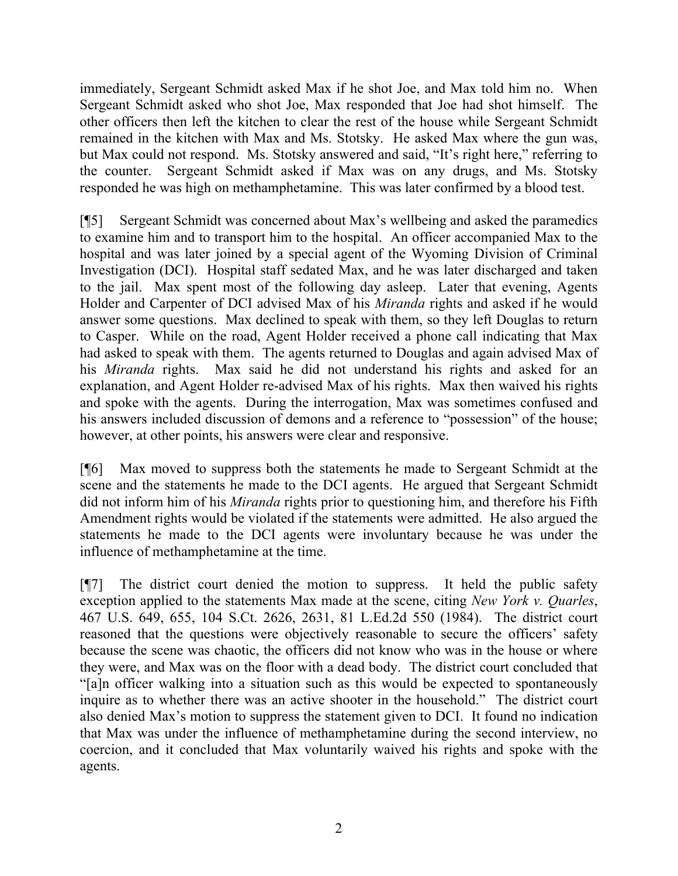immediately, Sergeant Schmidt asked Max if he shot Joe, and Max told him no. When Sergeant Schmidt asked who shot Joe, Max responded that Joe had shot himself. The other officers then left the kitchen to clear the rest of the house while Sergeant Schmidt remained in the kitchen with Max and Ms. Stotsky. He asked Max where the gun was, but Max could not respond. Ms. Stotsky answered and said, "It's right here," referring to the counter. Sergeant Schmidt asked if Max was on any drugs, and Ms. Stotsky responded he was high on methamphetamine. This was later confirmed by a blood test.

[¶5] Sergeant Schmidt was concerned about Max's wellbeing and asked the paramedics to examine him and to transport him to the hospital. An officer accompanied Max to the hospital and was later joined by a special agent of the Wyoming Division of Criminal Investigation (DCI). Hospital staff sedated Max, and he was later discharged and taken to the jail. Max spent most of the following day asleep. Later that evening, Agents Holder and Carpenter of DCI advised Max of his *Miranda* rights and asked if he would answer some questions. Max declined to speak with them, so they left Douglas to return to Casper. While on the road, Agent Holder received a phone call indicating that Max had asked to speak with them. The agents returned to Douglas and again advised Max of his *Miranda* rights. Max said he did not understand his rights and asked for an explanation, and Agent Holder re-advised Max of his rights. Max then waived his rights and spoke with the agents. During the interrogation, Max was sometimes confused and his answers included discussion of demons and a reference to "possession" of the house; however, at other points, his answers were clear and responsive.

[¶6] Max moved to suppress both the statements he made to Sergeant Schmidt at the scene and the statements he made to the DCI agents. He argued that Sergeant Schmidt did not inform him of his *Miranda* rights prior to questioning him, and therefore his Fifth Amendment rights would be violated if the statements were admitted. He also argued the statements he made to the DCI agents were involuntary because he was under the influence of methamphetamine at the time.

[¶7] The district court denied the motion to suppress. It held the public safety exception applied to the statements Max made at the scene, citing *New York v. Quarles*, 467 U.S. 649, 655, 104 S.Ct. 2626, 2631, 81 L.Ed.2d 550 (1984). The district court reasoned that the questions were objectively reasonable to secure the officers' safety because the scene was chaotic, the officers did not know who was in the house or where they were, and Max was on the floor with a dead body. The district court concluded that "[a]n officer walking into a situation such as this would be expected to spontaneously inquire as to whether there was an active shooter in the household." The district court also denied Max's motion to suppress the statement given to DCI. It found no indication that Max was under the influence of methamphetamine during the second interview, no coercion, and it concluded that Max voluntarily waived his rights and spoke with the agents.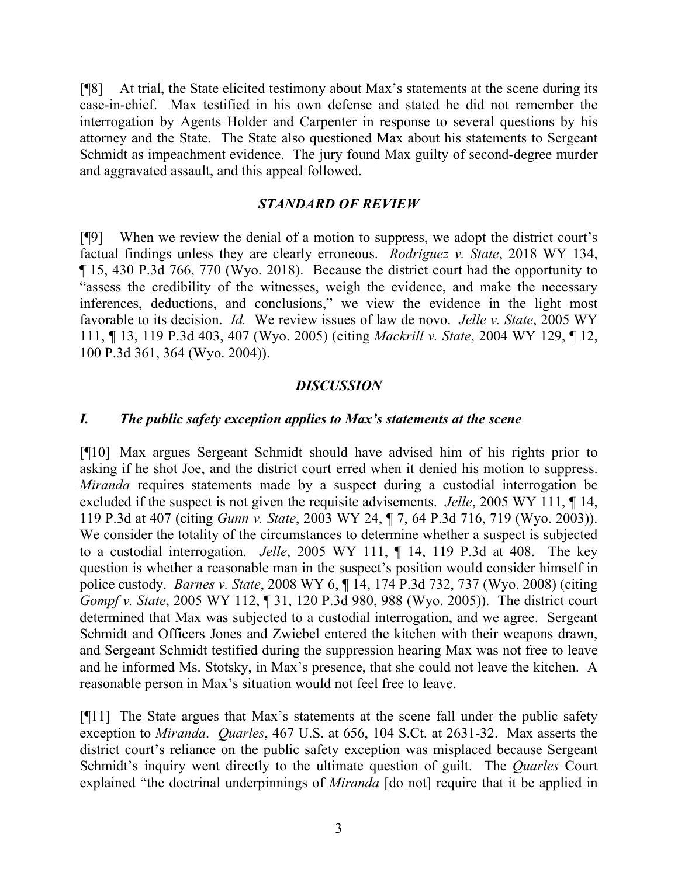[¶8] At trial, the State elicited testimony about Max's statements at the scene during its case-in-chief. Max testified in his own defense and stated he did not remember the interrogation by Agents Holder and Carpenter in response to several questions by his attorney and the State. The State also questioned Max about his statements to Sergeant Schmidt as impeachment evidence. The jury found Max guilty of second-degree murder and aggravated assault, and this appeal followed.

#### *STANDARD OF REVIEW*

[¶9] When we review the denial of a motion to suppress, we adopt the district court's factual findings unless they are clearly erroneous. *Rodriguez v. State*, 2018 WY 134, ¶ 15, 430 P.3d 766, 770 (Wyo. 2018). Because the district court had the opportunity to "assess the credibility of the witnesses, weigh the evidence, and make the necessary inferences, deductions, and conclusions," we view the evidence in the light most favorable to its decision. *Id.* We review issues of law de novo. *Jelle v. State*, 2005 WY 111, ¶ 13, 119 P.3d 403, 407 (Wyo. 2005) (citing *Mackrill v. State*, 2004 WY 129, ¶ 12, 100 P.3d 361, 364 (Wyo. 2004)).

### *DISCUSSION*

#### *I. The public safety exception applies to Max's statements at the scene*

[¶10] Max argues Sergeant Schmidt should have advised him of his rights prior to asking if he shot Joe, and the district court erred when it denied his motion to suppress. *Miranda* requires statements made by a suspect during a custodial interrogation be excluded if the suspect is not given the requisite advisements. *Jelle*, 2005 WY 111, ¶ 14, 119 P.3d at 407 (citing *Gunn v. State*, 2003 WY 24, ¶ 7, 64 P.3d 716, 719 (Wyo. 2003)). We consider the totality of the circumstances to determine whether a suspect is subjected to a custodial interrogation. *Jelle*, 2005 WY 111, ¶ 14, 119 P.3d at 408. The key question is whether a reasonable man in the suspect's position would consider himself in police custody. *Barnes v. State*, 2008 WY 6, ¶ 14, 174 P.3d 732, 737 (Wyo. 2008) (citing *Gompf v. State*, 2005 WY 112, ¶ 31, 120 P.3d 980, 988 (Wyo. 2005)). The district court determined that Max was subjected to a custodial interrogation, and we agree. Sergeant Schmidt and Officers Jones and Zwiebel entered the kitchen with their weapons drawn, and Sergeant Schmidt testified during the suppression hearing Max was not free to leave and he informed Ms. Stotsky, in Max's presence, that she could not leave the kitchen. A reasonable person in Max's situation would not feel free to leave.

[¶11] The State argues that Max's statements at the scene fall under the public safety exception to *Miranda*. *Quarles*, 467 U.S. at 656, 104 S.Ct. at 2631-32. Max asserts the district court's reliance on the public safety exception was misplaced because Sergeant Schmidt's inquiry went directly to the ultimate question of guilt. The *Quarles* Court explained "the doctrinal underpinnings of *Miranda* [do not] require that it be applied in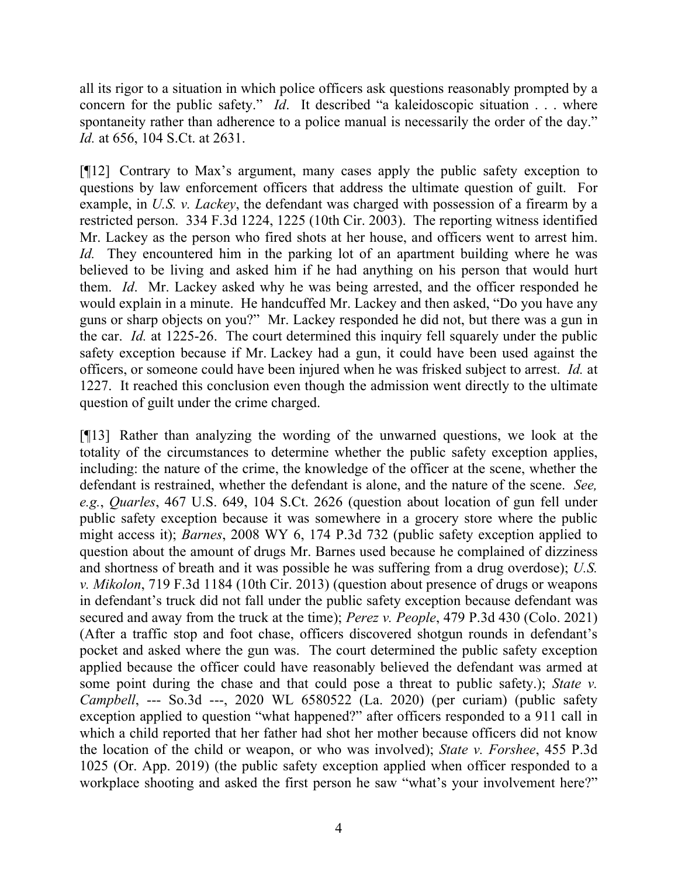all its rigor to a situation in which police officers ask questions reasonably prompted by a concern for the public safety." *Id*. It described "a kaleidoscopic situation . . . where spontaneity rather than adherence to a police manual is necessarily the order of the day." *Id.* at 656, 104 S.Ct. at 2631.

[¶12] Contrary to Max's argument, many cases apply the public safety exception to questions by law enforcement officers that address the ultimate question of guilt. For example, in *U.S. v. Lackey*, the defendant was charged with possession of a firearm by a restricted person. 334 F.3d 1224, 1225 (10th Cir. 2003). The reporting witness identified Mr. Lackey as the person who fired shots at her house, and officers went to arrest him. *Id.* They encountered him in the parking lot of an apartment building where he was believed to be living and asked him if he had anything on his person that would hurt them. *Id*. Mr. Lackey asked why he was being arrested, and the officer responded he would explain in a minute. He handcuffed Mr. Lackey and then asked, "Do you have any guns or sharp objects on you?" Mr. Lackey responded he did not, but there was a gun in the car. *Id.* at 1225-26. The court determined this inquiry fell squarely under the public safety exception because if Mr. Lackey had a gun, it could have been used against the officers, or someone could have been injured when he was frisked subject to arrest. *Id.* at 1227. It reached this conclusion even though the admission went directly to the ultimate question of guilt under the crime charged.

[¶13] Rather than analyzing the wording of the unwarned questions, we look at the totality of the circumstances to determine whether the public safety exception applies, including: the nature of the crime, the knowledge of the officer at the scene, whether the defendant is restrained, whether the defendant is alone, and the nature of the scene. *See, e.g.*, *Quarles*, 467 U.S. 649, 104 S.Ct. 2626 (question about location of gun fell under public safety exception because it was somewhere in a grocery store where the public might access it); *Barnes*, 2008 WY 6, 174 P.3d 732 (public safety exception applied to question about the amount of drugs Mr. Barnes used because he complained of dizziness and shortness of breath and it was possible he was suffering from a drug overdose); *U.S. v. Mikolon*, 719 F.3d 1184 (10th Cir. 2013) (question about presence of drugs or weapons in defendant's truck did not fall under the public safety exception because defendant was secured and away from the truck at the time); *Perez v. People*, 479 P.3d 430 (Colo. 2021) (After a traffic stop and foot chase, officers discovered shotgun rounds in defendant's pocket and asked where the gun was. The court determined the public safety exception applied because the officer could have reasonably believed the defendant was armed at some point during the chase and that could pose a threat to public safety.); *State v. Campbell*, --- So.3d ---, 2020 WL 6580522 (La. 2020) (per curiam) (public safety exception applied to question "what happened?" after officers responded to a 911 call in which a child reported that her father had shot her mother because officers did not know the location of the child or weapon, or who was involved); *State v. Forshee*, 455 P.3d 1025 (Or. App. 2019) (the public safety exception applied when officer responded to a workplace shooting and asked the first person he saw "what's your involvement here?"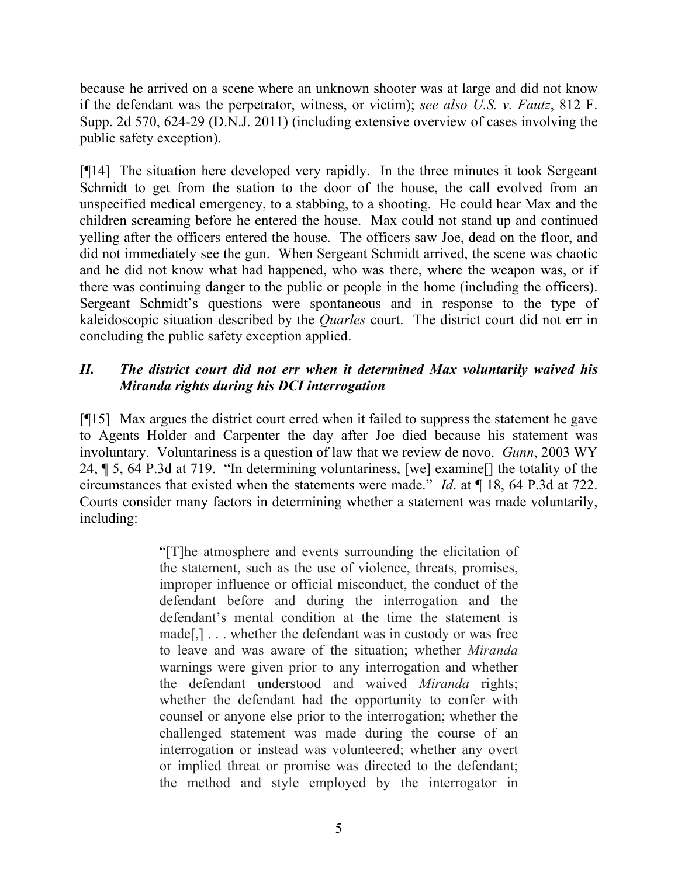because he arrived on a scene where an unknown shooter was at large and did not know if the defendant was the perpetrator, witness, or victim); *see also U.S. v. Fautz*, 812 F. Supp. 2d 570, 624-29 (D.N.J. 2011) (including extensive overview of cases involving the public safety exception).

[¶14] The situation here developed very rapidly. In the three minutes it took Sergeant Schmidt to get from the station to the door of the house, the call evolved from an unspecified medical emergency, to a stabbing, to a shooting. He could hear Max and the children screaming before he entered the house. Max could not stand up and continued yelling after the officers entered the house. The officers saw Joe, dead on the floor, and did not immediately see the gun. When Sergeant Schmidt arrived, the scene was chaotic and he did not know what had happened, who was there, where the weapon was, or if there was continuing danger to the public or people in the home (including the officers). Sergeant Schmidt's questions were spontaneous and in response to the type of kaleidoscopic situation described by the *Quarles* court. The district court did not err in concluding the public safety exception applied.

# *II. The district court did not err when it determined Max voluntarily waived his Miranda rights during his DCI interrogation*

[¶15] Max argues the district court erred when it failed to suppress the statement he gave to Agents Holder and Carpenter the day after Joe died because his statement was involuntary. Voluntariness is a question of law that we review de novo. *Gunn*, 2003 WY 24, ¶ 5, 64 P.3d at 719. "In determining voluntariness, [we] examine[] the totality of the circumstances that existed when the statements were made." *Id*. at ¶ 18, 64 P.3d at 722. Courts consider many factors in determining whether a statement was made voluntarily, including:

> "[T]he atmosphere and events surrounding the elicitation of the statement, such as the use of violence, threats, promises, improper influence or official misconduct, the conduct of the defendant before and during the interrogation and the defendant's mental condition at the time the statement is made[,] . . . whether the defendant was in custody or was free to leave and was aware of the situation; whether *Miranda* warnings were given prior to any interrogation and whether the defendant understood and waived *Miranda* rights; whether the defendant had the opportunity to confer with counsel or anyone else prior to the interrogation; whether the challenged statement was made during the course of an interrogation or instead was volunteered; whether any overt or implied threat or promise was directed to the defendant; the method and style employed by the interrogator in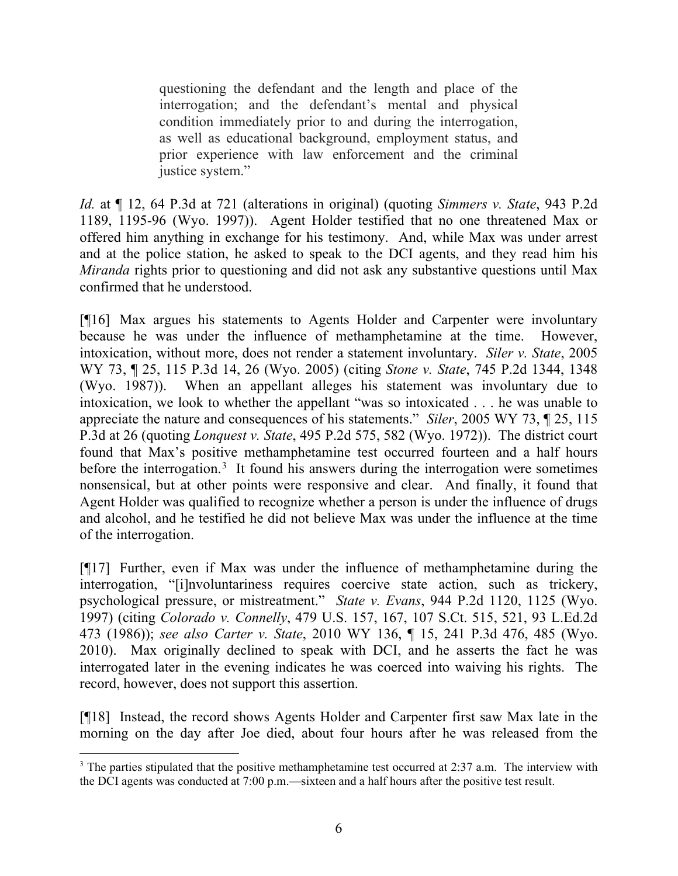questioning the defendant and the length and place of the interrogation; and the defendant's mental and physical condition immediately prior to and during the interrogation, as well as educational background, employment status, and prior experience with law enforcement and the criminal justice system."

*Id.* at ¶ 12, 64 P.3d at 721 (alterations in original) (quoting *Simmers v. State*, 943 P.2d 1189, 1195-96 (Wyo. 1997)). Agent Holder testified that no one threatened Max or offered him anything in exchange for his testimony. And, while Max was under arrest and at the police station, he asked to speak to the DCI agents, and they read him his *Miranda* rights prior to questioning and did not ask any substantive questions until Max confirmed that he understood.

[¶16] Max argues his statements to Agents Holder and Carpenter were involuntary because he was under the influence of methamphetamine at the time. However, intoxication, without more, does not render a statement involuntary. *Siler v. State*, 2005 WY 73, ¶ 25, 115 P.3d 14, 26 (Wyo. 2005) (citing *Stone v. State*, 745 P.2d 1344, 1348 (Wyo. 1987)). When an appellant alleges his statement was involuntary due to intoxication, we look to whether the appellant "was so intoxicated . . . he was unable to appreciate the nature and consequences of his statements." *Siler*, 2005 WY 73, ¶ 25, 115 P.3d at 26 (quoting *Lonquest v. State*, 495 P.2d 575, 582 (Wyo. 1972)). The district court found that Max's positive methamphetamine test occurred fourteen and a half hours before the interrogation.<sup>[3](#page-6-0)</sup> It found his answers during the interrogation were sometimes nonsensical, but at other points were responsive and clear. And finally, it found that Agent Holder was qualified to recognize whether a person is under the influence of drugs and alcohol, and he testified he did not believe Max was under the influence at the time of the interrogation.

[¶17] Further, even if Max was under the influence of methamphetamine during the interrogation, "[i]nvoluntariness requires coercive state action, such as trickery, psychological pressure, or mistreatment." *State v. Evans*, 944 P.2d 1120, 1125 (Wyo. 1997) (citing *Colorado v. Connelly*, 479 U.S. 157, 167, 107 S.Ct. 515, 521, 93 L.Ed.2d 473 (1986)); *see also Carter v. State*, 2010 WY 136, ¶ 15, 241 P.3d 476, 485 (Wyo. 2010). Max originally declined to speak with DCI, and he asserts the fact he was interrogated later in the evening indicates he was coerced into waiving his rights. The record, however, does not support this assertion.

[¶18] Instead, the record shows Agents Holder and Carpenter first saw Max late in the morning on the day after Joe died, about four hours after he was released from the

<span id="page-6-0"></span><sup>&</sup>lt;sup>3</sup> The parties stipulated that the positive methamphetamine test occurred at 2:37 a.m. The interview with the DCI agents was conducted at 7:00 p.m.—sixteen and a half hours after the positive test result.